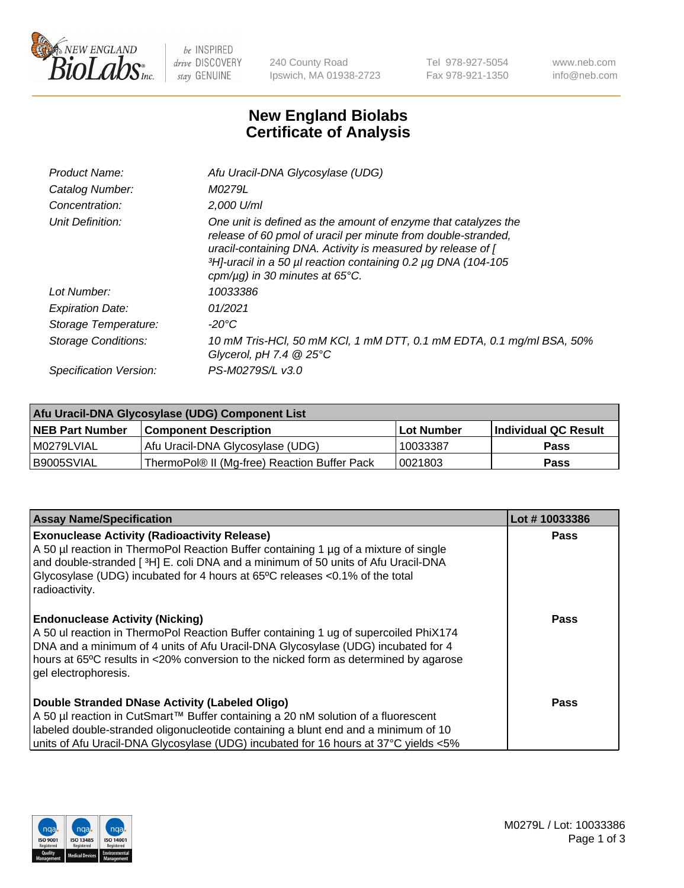

 $be$  INSPIRED drive DISCOVERY stay GENUINE

240 County Road Ipswich, MA 01938-2723 Tel 978-927-5054 Fax 978-921-1350 www.neb.com info@neb.com

## **New England Biolabs Certificate of Analysis**

| Afu Uracil-DNA Glycosylase (UDG)                                                                                                                                                                                                                                                                                     |
|----------------------------------------------------------------------------------------------------------------------------------------------------------------------------------------------------------------------------------------------------------------------------------------------------------------------|
| M0279L                                                                                                                                                                                                                                                                                                               |
| 2,000 U/ml                                                                                                                                                                                                                                                                                                           |
| One unit is defined as the amount of enzyme that catalyzes the<br>release of 60 pmol of uracil per minute from double-stranded,<br>uracil-containing DNA. Activity is measured by release of [<br>3H <sub>1</sub> -uracil in a 50 µl reaction containing 0.2 µg DNA (104-105<br>cpm/ $\mu$ g) in 30 minutes at 65°C. |
| 10033386                                                                                                                                                                                                                                                                                                             |
| 01/2021                                                                                                                                                                                                                                                                                                              |
| -20°C                                                                                                                                                                                                                                                                                                                |
| 10 mM Tris-HCl, 50 mM KCl, 1 mM DTT, 0.1 mM EDTA, 0.1 mg/ml BSA, 50%<br>Glycerol, pH 7.4 $@25^{\circ}C$                                                                                                                                                                                                              |
| PS-M0279S/L v3.0                                                                                                                                                                                                                                                                                                     |
|                                                                                                                                                                                                                                                                                                                      |

| Afu Uracil-DNA Glycosylase (UDG) Component List |                                              |                   |                      |  |  |
|-------------------------------------------------|----------------------------------------------|-------------------|----------------------|--|--|
| <b>NEB Part Number</b>                          | <b>Component Description</b>                 | <b>Lot Number</b> | Individual QC Result |  |  |
| I M0279LVIAL                                    | Afu Uracil-DNA Glycosylase (UDG)             | 10033387          | <b>Pass</b>          |  |  |
| I B9005SVIAL                                    | ThermoPol® II (Mg-free) Reaction Buffer Pack | 0021803           | Pass                 |  |  |

| <b>Assay Name/Specification</b>                                                                                                                                                                                                                                                                                                    | Lot #10033386 |
|------------------------------------------------------------------------------------------------------------------------------------------------------------------------------------------------------------------------------------------------------------------------------------------------------------------------------------|---------------|
| <b>Exonuclease Activity (Radioactivity Release)</b><br>A 50 µl reaction in ThermoPol Reaction Buffer containing 1 µg of a mixture of single<br>and double-stranded [3H] E. coli DNA and a minimum of 50 units of Afu Uracil-DNA<br>Glycosylase (UDG) incubated for 4 hours at 65°C releases <0.1% of the total<br>radioactivity.   | <b>Pass</b>   |
| <b>Endonuclease Activity (Nicking)</b><br>A 50 ul reaction in ThermoPol Reaction Buffer containing 1 ug of supercoiled PhiX174<br>DNA and a minimum of 4 units of Afu Uracil-DNA Glycosylase (UDG) incubated for 4<br>hours at 65°C results in <20% conversion to the nicked form as determined by agarose<br>gel electrophoresis. | Pass          |
| Double Stranded DNase Activity (Labeled Oligo)<br>A 50 µl reaction in CutSmart™ Buffer containing a 20 nM solution of a fluorescent<br>labeled double-stranded oligonucleotide containing a blunt end and a minimum of 10<br>units of Afu Uracil-DNA Glycosylase (UDG) incubated for 16 hours at 37°C yields <5%                   | <b>Pass</b>   |

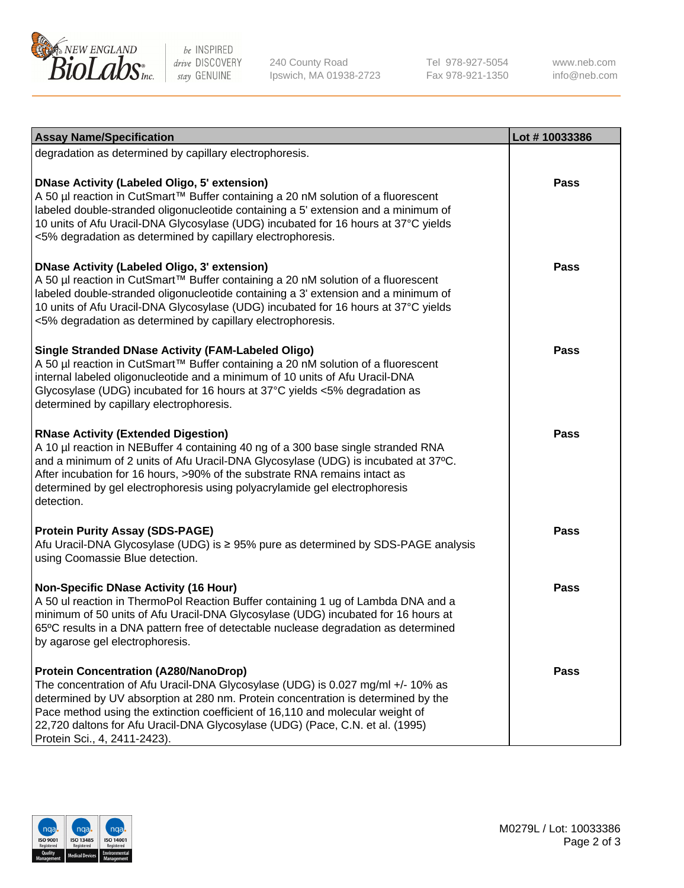

be INSPIRED drive DISCOVERY stay GENUINE

240 County Road Ipswich, MA 01938-2723 Tel 978-927-5054 Fax 978-921-1350

www.neb.com info@neb.com

| <b>Assay Name/Specification</b>                                                                                                                                                                                                                                                                                                                                                                                         | Lot #10033386 |
|-------------------------------------------------------------------------------------------------------------------------------------------------------------------------------------------------------------------------------------------------------------------------------------------------------------------------------------------------------------------------------------------------------------------------|---------------|
| degradation as determined by capillary electrophoresis.                                                                                                                                                                                                                                                                                                                                                                 |               |
| <b>DNase Activity (Labeled Oligo, 5' extension)</b><br>A 50 µl reaction in CutSmart™ Buffer containing a 20 nM solution of a fluorescent<br>labeled double-stranded oligonucleotide containing a 5' extension and a minimum of<br>10 units of Afu Uracil-DNA Glycosylase (UDG) incubated for 16 hours at 37°C yields<br><5% degradation as determined by capillary electrophoresis.                                     | <b>Pass</b>   |
| <b>DNase Activity (Labeled Oligo, 3' extension)</b><br>A 50 µl reaction in CutSmart™ Buffer containing a 20 nM solution of a fluorescent<br>labeled double-stranded oligonucleotide containing a 3' extension and a minimum of<br>10 units of Afu Uracil-DNA Glycosylase (UDG) incubated for 16 hours at 37°C yields<br><5% degradation as determined by capillary electrophoresis.                                     | <b>Pass</b>   |
| <b>Single Stranded DNase Activity (FAM-Labeled Oligo)</b><br>A 50 µl reaction in CutSmart™ Buffer containing a 20 nM solution of a fluorescent<br>internal labeled oligonucleotide and a minimum of 10 units of Afu Uracil-DNA<br>Glycosylase (UDG) incubated for 16 hours at 37°C yields <5% degradation as<br>determined by capillary electrophoresis.                                                                | <b>Pass</b>   |
| <b>RNase Activity (Extended Digestion)</b><br>A 10 µl reaction in NEBuffer 4 containing 40 ng of a 300 base single stranded RNA<br>and a minimum of 2 units of Afu Uracil-DNA Glycosylase (UDG) is incubated at 37°C.<br>After incubation for 16 hours, >90% of the substrate RNA remains intact as<br>determined by gel electrophoresis using polyacrylamide gel electrophoresis<br>detection.                         | <b>Pass</b>   |
| <b>Protein Purity Assay (SDS-PAGE)</b><br>Afu Uracil-DNA Glycosylase (UDG) is ≥ 95% pure as determined by SDS-PAGE analysis<br>using Coomassie Blue detection.                                                                                                                                                                                                                                                          | <b>Pass</b>   |
| <b>Non-Specific DNase Activity (16 Hour)</b><br>A 50 ul reaction in ThermoPol Reaction Buffer containing 1 ug of Lambda DNA and a<br>minimum of 50 units of Afu Uracil-DNA Glycosylase (UDG) incubated for 16 hours at<br>65°C results in a DNA pattern free of detectable nuclease degradation as determined<br>by agarose gel electrophoresis.                                                                        | <b>Pass</b>   |
| <b>Protein Concentration (A280/NanoDrop)</b><br>The concentration of Afu Uracil-DNA Glycosylase (UDG) is 0.027 mg/ml +/- 10% as<br>determined by UV absorption at 280 nm. Protein concentration is determined by the<br>Pace method using the extinction coefficient of 16,110 and molecular weight of<br>22,720 daltons for Afu Uracil-DNA Glycosylase (UDG) (Pace, C.N. et al. (1995)<br>Protein Sci., 4, 2411-2423). | Pass          |